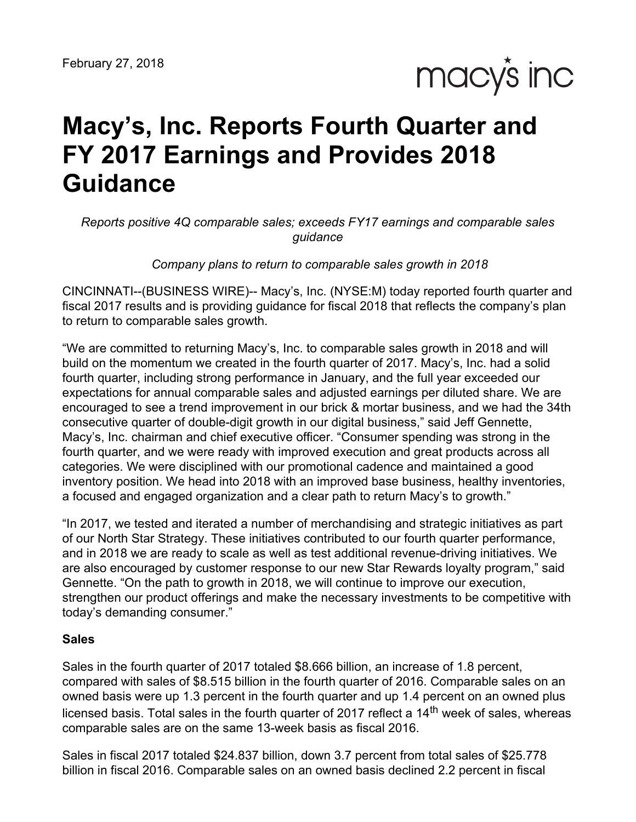macy's inc

# **Macy's, Inc. Reports Fourth Quarter and FY 2017 Earnings and Provides 2018 Guidance**

*Reports positive 4Q comparable sales; exceeds FY17 earnings and comparable sales guidance*

*Company plans to return to comparable sales growth in 2018*

CINCINNATI--(BUSINESS WIRE)-- Macy's, Inc. (NYSE:M) today reported fourth quarter and fiscal 2017 results and is providing guidance for fiscal 2018 that reflects the company's plan to return to comparable sales growth.

"We are committed to returning Macy's, Inc. to comparable sales growth in 2018 and will build on the momentum we created in the fourth quarter of 2017. Macy's, Inc. had a solid fourth quarter, including strong performance in January, and the full year exceeded our expectations for annual comparable sales and adjusted earnings per diluted share. We are encouraged to see a trend improvement in our brick & mortar business, and we had the 34th consecutive quarter of double-digit growth in our digital business," said Jeff Gennette, Macy's, Inc. chairman and chief executive officer. "Consumer spending was strong in the fourth quarter, and we were ready with improved execution and great products across all categories. We were disciplined with our promotional cadence and maintained a good inventory position. We head into 2018 with an improved base business, healthy inventories, a focused and engaged organization and a clear path to return Macy's to growth."

"In 2017, we tested and iterated a number of merchandising and strategic initiatives as part of our North Star Strategy. These initiatives contributed to our fourth quarter performance, and in 2018 we are ready to scale as well as test additional revenue-driving initiatives. We are also encouraged by customer response to our new Star Rewards loyalty program," said Gennette. "On the path to growth in 2018, we will continue to improve our execution, strengthen our product offerings and make the necessary investments to be competitive with today's demanding consumer."

## **Sales**

Sales in the fourth quarter of 2017 totaled \$8.666 billion, an increase of 1.8 percent, compared with sales of \$8.515 billion in the fourth quarter of 2016. Comparable sales on an owned basis were up 1.3 percent in the fourth quarter and up 1.4 percent on an owned plus licensed basis. Total sales in the fourth quarter of 2017 reflect a 14<sup>th</sup> week of sales, whereas comparable sales are on the same 13-week basis as fiscal 2016.

Sales in fiscal 2017 totaled \$24.837 billion, down 3.7 percent from total sales of \$25.778 billion in fiscal 2016. Comparable sales on an owned basis declined 2.2 percent in fiscal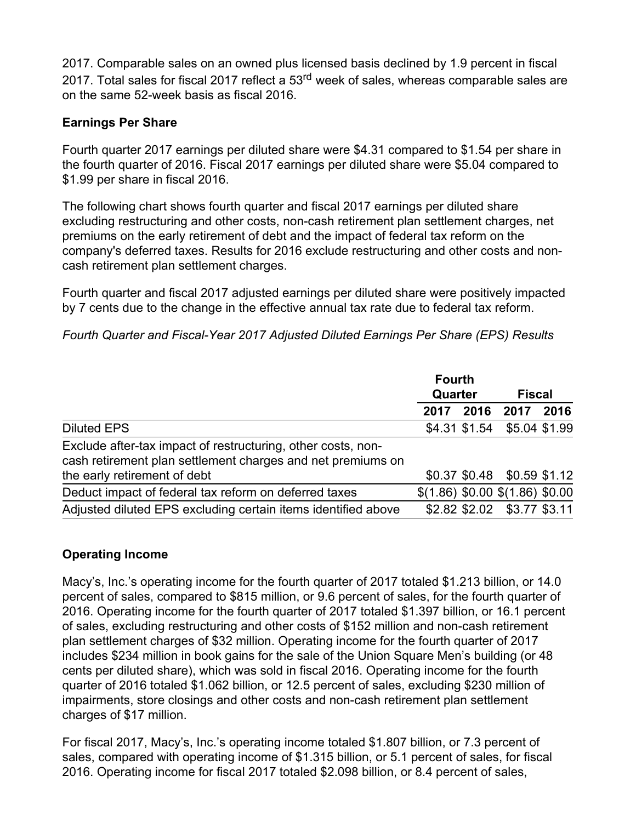2017. Comparable sales on an owned plus licensed basis declined by 1.9 percent in fiscal 2017. Total sales for fiscal 2017 reflect a 53<sup>rd</sup> week of sales, whereas comparable sales are on the same 52-week basis as fiscal 2016.

## **Earnings Per Share**

Fourth quarter 2017 earnings per diluted share were \$4.31 compared to \$1.54 per share in the fourth quarter of 2016. Fiscal 2017 earnings per diluted share were \$5.04 compared to \$1.99 per share in fiscal 2016.

The following chart shows fourth quarter and fiscal 2017 earnings per diluted share excluding restructuring and other costs, non-cash retirement plan settlement charges, net premiums on the early retirement of debt and the impact of federal tax reform on the company's deferred taxes. Results for 2016 exclude restructuring and other costs and noncash retirement plan settlement charges.

Fourth quarter and fiscal 2017 adjusted earnings per diluted share were positively impacted by 7 cents due to the change in the effective annual tax rate due to federal tax reform.

*Fourth Quarter and Fiscal-Year 2017 Adjusted Diluted Earnings Per Share (EPS) Results*

|                                                                                                                             | <b>Fourth</b> |      |                                 |      |
|-----------------------------------------------------------------------------------------------------------------------------|---------------|------|---------------------------------|------|
|                                                                                                                             | Quarter       |      | <b>Fiscal</b>                   |      |
|                                                                                                                             | 2017          | 2016 | 2017                            | 2016 |
| <b>Diluted EPS</b>                                                                                                          |               |      | \$4.31 \$1.54 \$5.04 \$1.99     |      |
| Exclude after-tax impact of restructuring, other costs, non-<br>cash retirement plan settlement charges and net premiums on |               |      |                                 |      |
| the early retirement of debt                                                                                                |               |      | \$0.37 \$0.48 \$0.59 \$1.12     |      |
| Deduct impact of federal tax reform on deferred taxes                                                                       |               |      | \$(1.86) \$0.00 \$(1.86) \$0.00 |      |
| Adjusted diluted EPS excluding certain items identified above                                                               |               |      | \$2.82 \$2.02 \$3.77 \$3.11     |      |

## **Operating Income**

Macy's, Inc.'s operating income for the fourth quarter of 2017 totaled \$1.213 billion, or 14.0 percent of sales, compared to \$815 million, or 9.6 percent of sales, for the fourth quarter of 2016. Operating income for the fourth quarter of 2017 totaled \$1.397 billion, or 16.1 percent of sales, excluding restructuring and other costs of \$152 million and non-cash retirement plan settlement charges of \$32 million. Operating income for the fourth quarter of 2017 includes \$234 million in book gains for the sale of the Union Square Men's building (or 48 cents per diluted share), which was sold in fiscal 2016. Operating income for the fourth quarter of 2016 totaled \$1.062 billion, or 12.5 percent of sales, excluding \$230 million of impairments, store closings and other costs and non-cash retirement plan settlement charges of \$17 million.

For fiscal 2017, Macy's, Inc.'s operating income totaled \$1.807 billion, or 7.3 percent of sales, compared with operating income of \$1.315 billion, or 5.1 percent of sales, for fiscal 2016. Operating income for fiscal 2017 totaled \$2.098 billion, or 8.4 percent of sales,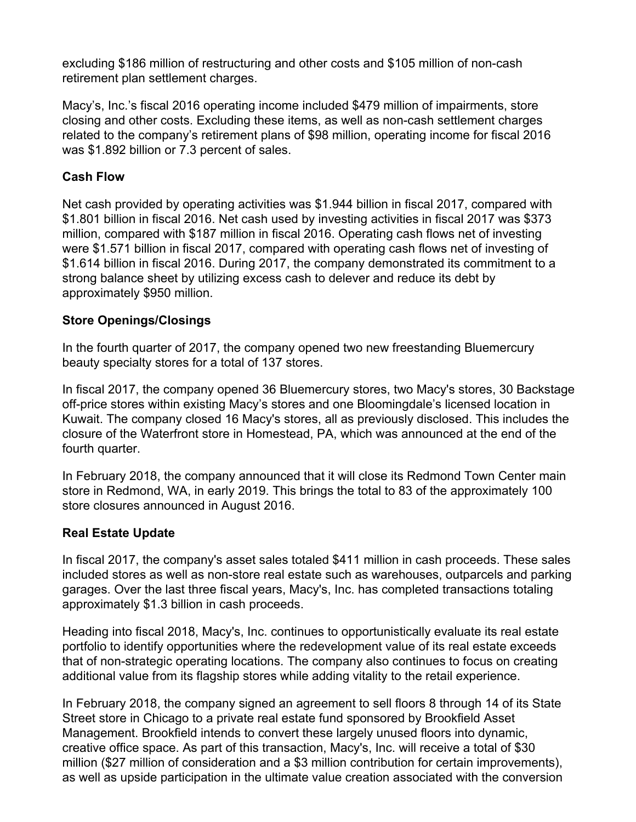excluding \$186 million of restructuring and other costs and \$105 million of non-cash retirement plan settlement charges.

Macy's, Inc.'s fiscal 2016 operating income included \$479 million of impairments, store closing and other costs. Excluding these items, as well as non-cash settlement charges related to the company's retirement plans of \$98 million, operating income for fiscal 2016 was \$1.892 billion or 7.3 percent of sales.

## **Cash Flow**

Net cash provided by operating activities was \$1.944 billion in fiscal 2017, compared with \$1.801 billion in fiscal 2016. Net cash used by investing activities in fiscal 2017 was \$373 million, compared with \$187 million in fiscal 2016. Operating cash flows net of investing were \$1.571 billion in fiscal 2017, compared with operating cash flows net of investing of \$1.614 billion in fiscal 2016. During 2017, the company demonstrated its commitment to a strong balance sheet by utilizing excess cash to delever and reduce its debt by approximately \$950 million.

## **Store Openings/Closings**

In the fourth quarter of 2017, the company opened two new freestanding Bluemercury beauty specialty stores for a total of 137 stores.

In fiscal 2017, the company opened 36 Bluemercury stores, two Macy's stores, 30 Backstage off-price stores within existing Macy's stores and one Bloomingdale's licensed location in Kuwait. The company closed 16 Macy's stores, all as previously disclosed. This includes the closure of the Waterfront store in Homestead, PA, which was announced at the end of the fourth quarter.

In February 2018, the company announced that it will close its Redmond Town Center main store in Redmond, WA, in early 2019. This brings the total to 83 of the approximately 100 store closures announced in August 2016.

## **Real Estate Update**

In fiscal 2017, the company's asset sales totaled \$411 million in cash proceeds. These sales included stores as well as non-store real estate such as warehouses, outparcels and parking garages. Over the last three fiscal years, Macy's, Inc. has completed transactions totaling approximately \$1.3 billion in cash proceeds.

Heading into fiscal 2018, Macy's, Inc. continues to opportunistically evaluate its real estate portfolio to identify opportunities where the redevelopment value of its real estate exceeds that of non-strategic operating locations. The company also continues to focus on creating additional value from its flagship stores while adding vitality to the retail experience.

In February 2018, the company signed an agreement to sell floors 8 through 14 of its State Street store in Chicago to a private real estate fund sponsored by Brookfield Asset Management. Brookfield intends to convert these largely unused floors into dynamic, creative office space. As part of this transaction, Macy's, Inc. will receive a total of \$30 million (\$27 million of consideration and a \$3 million contribution for certain improvements), as well as upside participation in the ultimate value creation associated with the conversion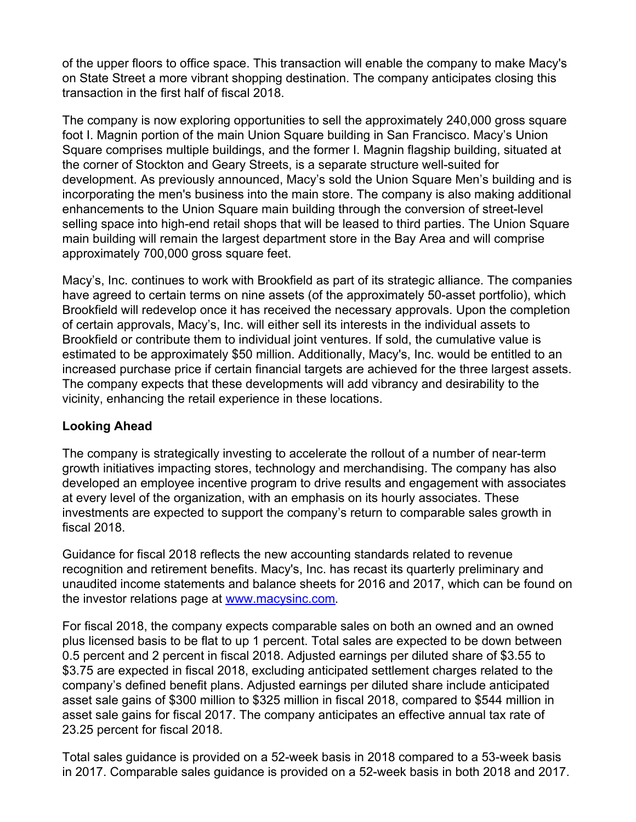of the upper floors to office space. This transaction will enable the company to make Macy's on State Street a more vibrant shopping destination. The company anticipates closing this transaction in the first half of fiscal 2018.

The company is now exploring opportunities to sell the approximately 240,000 gross square foot I. Magnin portion of the main Union Square building in San Francisco. Macy's Union Square comprises multiple buildings, and the former I. Magnin flagship building, situated at the corner of Stockton and Geary Streets, is a separate structure well-suited for development. As previously announced, Macy's sold the Union Square Men's building and is incorporating the men's business into the main store. The company is also making additional enhancements to the Union Square main building through the conversion of street-level selling space into high-end retail shops that will be leased to third parties. The Union Square main building will remain the largest department store in the Bay Area and will comprise approximately 700,000 gross square feet.

Macy's, Inc. continues to work with Brookfield as part of its strategic alliance. The companies have agreed to certain terms on nine assets (of the approximately 50-asset portfolio), which Brookfield will redevelop once it has received the necessary approvals. Upon the completion of certain approvals, Macy's, Inc. will either sell its interests in the individual assets to Brookfield or contribute them to individual joint ventures. If sold, the cumulative value is estimated to be approximately \$50 million. Additionally, Macy's, Inc. would be entitled to an increased purchase price if certain financial targets are achieved for the three largest assets. The company expects that these developments will add vibrancy and desirability to the vicinity, enhancing the retail experience in these locations.

## **Looking Ahead**

The company is strategically investing to accelerate the rollout of a number of near-term growth initiatives impacting stores, technology and merchandising. The company has also developed an employee incentive program to drive results and engagement with associates at every level of the organization, with an emphasis on its hourly associates. These investments are expected to support the company's return to comparable sales growth in fiscal 2018.

Guidance for fiscal 2018 reflects the new accounting standards related to revenue recognition and retirement benefits. Macy's, Inc. has recast its quarterly preliminary and unaudited income statements and balance sheets for 2016 and 2017, which can be found on the investor relations page at [www.macysinc.com](http://www.macysinc.com).

For fiscal 2018, the company expects comparable sales on both an owned and an owned plus licensed basis to be flat to up 1 percent. Total sales are expected to be down between 0.5 percent and 2 percent in fiscal 2018. Adjusted earnings per diluted share of \$3.55 to \$3.75 are expected in fiscal 2018, excluding anticipated settlement charges related to the company's defined benefit plans. Adjusted earnings per diluted share include anticipated asset sale gains of \$300 million to \$325 million in fiscal 2018, compared to \$544 million in asset sale gains for fiscal 2017. The company anticipates an effective annual tax rate of 23.25 percent for fiscal 2018.

Total sales guidance is provided on a 52-week basis in 2018 compared to a 53-week basis in 2017. Comparable sales guidance is provided on a 52-week basis in both 2018 and 2017.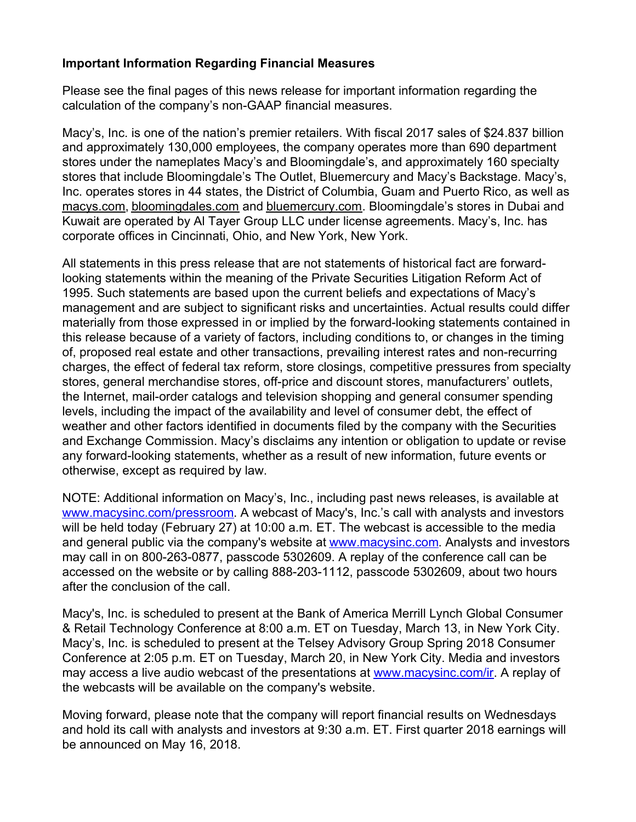## **Important Information Regarding Financial Measures**

Please see the final pages of this news release for important information regarding the calculation of the company's non-GAAP financial measures.

Macy's, Inc. is one of the nation's premier retailers. With fiscal 2017 sales of \$24.837 billion and approximately 130,000 employees, the company operates more than 690 department stores under the nameplates Macy's and Bloomingdale's, and approximately 160 specialty stores that include Bloomingdale's The Outlet, Bluemercury and Macy's Backstage. Macy's, Inc. operates stores in 44 states, the District of Columbia, Guam and Puerto Rico, as well as macys.com, bloomingdales.com and bluemercury.com. Bloomingdale's stores in Dubai and Kuwait are operated by Al Tayer Group LLC under license agreements. Macy's, Inc. has corporate offices in Cincinnati, Ohio, and New York, New York.

All statements in this press release that are not statements of historical fact are forwardlooking statements within the meaning of the Private Securities Litigation Reform Act of 1995. Such statements are based upon the current beliefs and expectations of Macy's management and are subject to significant risks and uncertainties. Actual results could differ materially from those expressed in or implied by the forward-looking statements contained in this release because of a variety of factors, including conditions to, or changes in the timing of, proposed real estate and other transactions, prevailing interest rates and non-recurring charges, the effect of federal tax reform, store closings, competitive pressures from specialty stores, general merchandise stores, off-price and discount stores, manufacturers' outlets, the Internet, mail-order catalogs and television shopping and general consumer spending levels, including the impact of the availability and level of consumer debt, the effect of weather and other factors identified in documents filed by the company with the Securities and Exchange Commission. Macy's disclaims any intention or obligation to update or revise any forward-looking statements, whether as a result of new information, future events or otherwise, except as required by law.

NOTE: Additional information on Macy's, Inc., including past news releases, is available at [www.macysinc.com/pressroom](http://www.macysinc.com/pressroom). A webcast of Macy's, Inc.'s call with analysts and investors will be held today (February 27) at 10:00 a.m. ET. The webcast is accessible to the media and general public via the company's website at [www.macysinc.com](http://www.macysinc.com). Analysts and investors may call in on 800-263-0877, passcode 5302609. A replay of the conference call can be accessed on the website or by calling 888-203-1112, passcode 5302609, about two hours after the conclusion of the call.

Macy's, Inc. is scheduled to present at the Bank of America Merrill Lynch Global Consumer & Retail Technology Conference at 8:00 a.m. ET on Tuesday, March 13, in New York City. Macy's, Inc. is scheduled to present at the Telsey Advisory Group Spring 2018 Consumer Conference at 2:05 p.m. ET on Tuesday, March 20, in New York City. Media and investors may access a live audio webcast of the presentations at [www.macysinc.com/ir.](http://www.macysinc.com/ir) A replay of the webcasts will be available on the company's website.

Moving forward, please note that the company will report financial results on Wednesdays and hold its call with analysts and investors at 9:30 a.m. ET. First quarter 2018 earnings will be announced on May 16, 2018.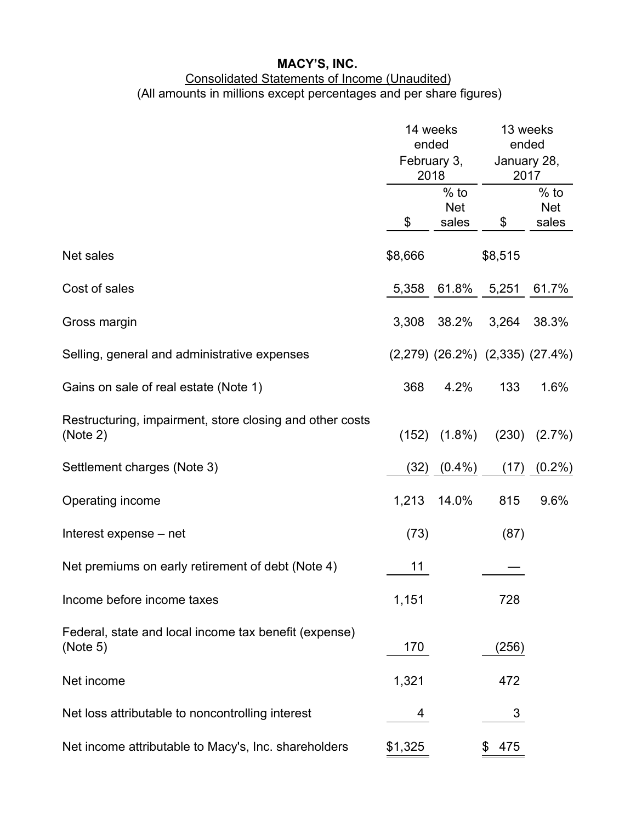#### Consolidated Statements of Income (Unaudited) (All amounts in millions except percentages and per share figures)

|                                                                      | 14 weeks<br>ended<br>February 3,<br>2018 |                                           | January 28,<br>2017 | 13 weeks<br>ended             |
|----------------------------------------------------------------------|------------------------------------------|-------------------------------------------|---------------------|-------------------------------|
|                                                                      | \$                                       | $%$ to<br><b>Net</b><br>sales             | \$                  | $%$ to<br><b>Net</b><br>sales |
| Net sales                                                            | \$8,666                                  |                                           | \$8,515             |                               |
| Cost of sales                                                        | 5,358                                    | 61.8%                                     | 5,251               | 61.7%                         |
| Gross margin                                                         | 3,308                                    | 38.2%                                     | 3,264               | 38.3%                         |
| Selling, general and administrative expenses                         |                                          | $(2,279)$ $(26.2\%)$ $(2,335)$ $(27.4\%)$ |                     |                               |
| Gains on sale of real estate (Note 1)                                | 368                                      | 4.2%                                      | 133                 | 1.6%                          |
| Restructuring, impairment, store closing and other costs<br>(Note 2) |                                          | $(152)$ $(1.8\%)$                         | (230)               | $(2.7\%)$                     |
| Settlement charges (Note 3)                                          | (32)                                     | $(0.4\%)$                                 | (17)                | $(0.2\%)$                     |
| Operating income                                                     | 1,213                                    | 14.0%                                     | 815                 | 9.6%                          |
| Interest expense – net                                               | (73)                                     |                                           | (87)                |                               |
| Net premiums on early retirement of debt (Note 4)                    | 11                                       |                                           |                     |                               |
| Income before income taxes                                           | 1,151                                    |                                           | 728                 |                               |
| Federal, state and local income tax benefit (expense)<br>(Note 5)    | 170                                      |                                           | (256)               |                               |
| Net income                                                           | 1,321                                    |                                           | 472                 |                               |
| Net loss attributable to noncontrolling interest                     | 4                                        |                                           | 3                   |                               |
| Net income attributable to Macy's, Inc. shareholders                 | \$1,325                                  |                                           | 475                 |                               |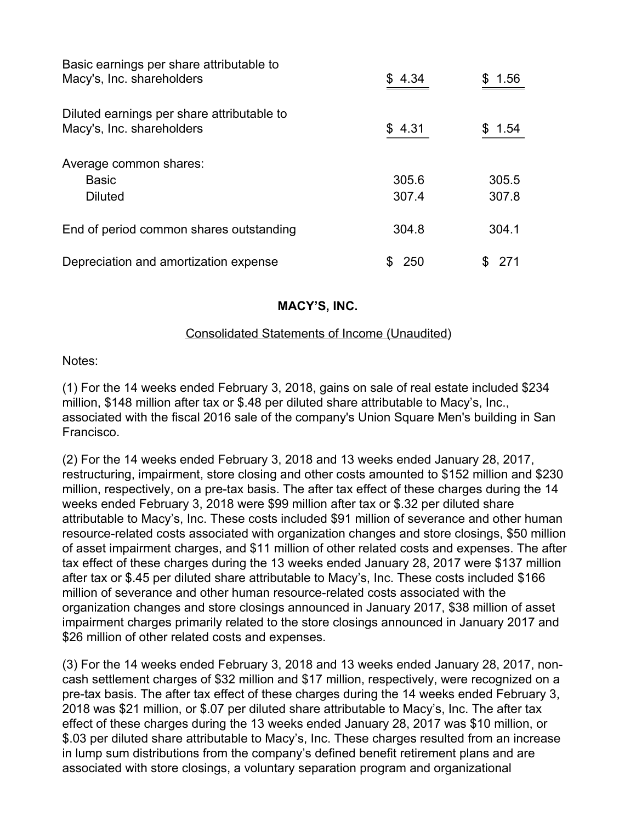| Basic earnings per share attributable to<br>Macy's, Inc. shareholders   | \$4.34 | \$1.56 |
|-------------------------------------------------------------------------|--------|--------|
| Diluted earnings per share attributable to<br>Macy's, Inc. shareholders | \$4.31 | \$1.54 |
| Average common shares:                                                  |        |        |
| <b>Basic</b>                                                            | 305.6  | 305.5  |
| <b>Diluted</b>                                                          | 307.4  | 307.8  |
| End of period common shares outstanding                                 | 304.8  | 304.1  |
| Depreciation and amortization expense                                   | 250    |        |

## Consolidated Statements of Income (Unaudited)

Notes:

(1) For the 14 weeks ended February 3, 2018, gains on sale of real estate included \$234 million, \$148 million after tax or \$.48 per diluted share attributable to Macy's, Inc., associated with the fiscal 2016 sale of the company's Union Square Men's building in San Francisco.

(2) For the 14 weeks ended February 3, 2018 and 13 weeks ended January 28, 2017, restructuring, impairment, store closing and other costs amounted to \$152 million and \$230 million, respectively, on a pre-tax basis. The after tax effect of these charges during the 14 weeks ended February 3, 2018 were \$99 million after tax or \$.32 per diluted share attributable to Macy's, Inc. These costs included \$91 million of severance and other human resource-related costs associated with organization changes and store closings, \$50 million of asset impairment charges, and \$11 million of other related costs and expenses. The after tax effect of these charges during the 13 weeks ended January 28, 2017 were \$137 million after tax or \$.45 per diluted share attributable to Macy's, Inc. These costs included \$166 million of severance and other human resource-related costs associated with the organization changes and store closings announced in January 2017, \$38 million of asset impairment charges primarily related to the store closings announced in January 2017 and \$26 million of other related costs and expenses.

(3) For the 14 weeks ended February 3, 2018 and 13 weeks ended January 28, 2017, noncash settlement charges of \$32 million and \$17 million, respectively, were recognized on a pre-tax basis. The after tax effect of these charges during the 14 weeks ended February 3, 2018 was \$21 million, or \$.07 per diluted share attributable to Macy's, Inc. The after tax effect of these charges during the 13 weeks ended January 28, 2017 was \$10 million, or \$.03 per diluted share attributable to Macy's, Inc. These charges resulted from an increase in lump sum distributions from the company's defined benefit retirement plans and are associated with store closings, a voluntary separation program and organizational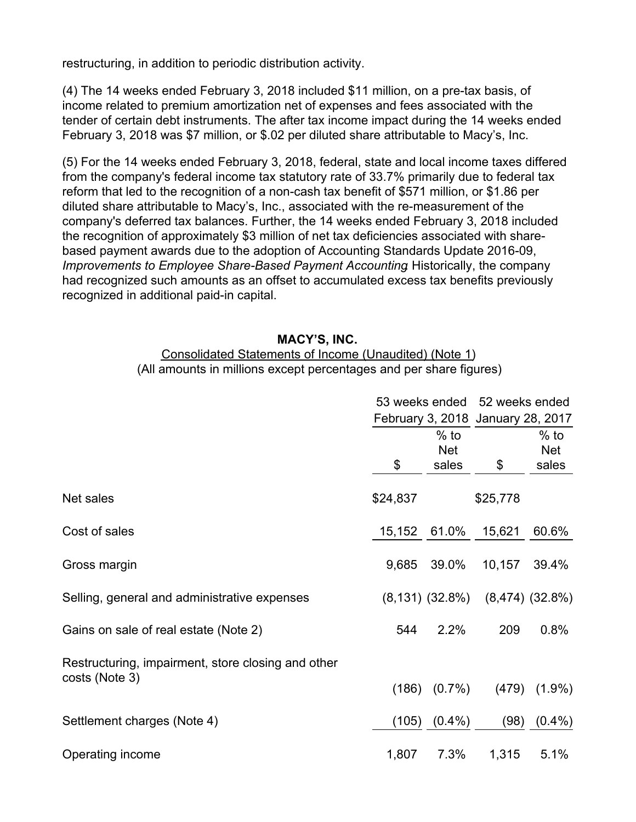restructuring, in addition to periodic distribution activity.

(4) The 14 weeks ended February 3, 2018 included \$11 million, on a pre-tax basis, of income related to premium amortization net of expenses and fees associated with the tender of certain debt instruments. The after tax income impact during the 14 weeks ended February 3, 2018 was \$7 million, or \$.02 per diluted share attributable to Macy's, Inc.

(5) For the 14 weeks ended February 3, 2018, federal, state and local income taxes differed from the company's federal income tax statutory rate of 33.7% primarily due to federal tax reform that led to the recognition of a non-cash tax benefit of \$571 million, or \$1.86 per diluted share attributable to Macy's, Inc., associated with the re-measurement of the company's deferred tax balances. Further, the 14 weeks ended February 3, 2018 included the recognition of approximately \$3 million of net tax deficiencies associated with sharebased payment awards due to the adoption of Accounting Standards Update 2016-09, *Improvements to Employee Share-Based Payment Accounting*. Historically, the company had recognized such amounts as an offset to accumulated excess tax benefits previously recognized in additional paid-in capital.

## **MACY'S, INC.**

#### Consolidated Statements of Income (Unaudited) (Note 1) (All amounts in millions except percentages and per share figures)

|                                                    | 53 weeks ended 52 weeks ended               |                   |                                           |                   |
|----------------------------------------------------|---------------------------------------------|-------------------|-------------------------------------------|-------------------|
|                                                    | February 3, 2018 January 28, 2017<br>$%$ to |                   |                                           | $%$ to            |
|                                                    |                                             | <b>Net</b>        |                                           | <b>Net</b>        |
|                                                    | \$                                          | sales             | \$                                        | sales             |
| Net sales                                          | \$24,837                                    |                   | \$25,778                                  |                   |
| Cost of sales                                      | 15,152                                      | 61.0%             | 15,621                                    | 60.6%             |
| Gross margin                                       | 9,685                                       | 39.0%             | 10,157                                    | 39.4%             |
| Selling, general and administrative expenses       |                                             |                   | $(8,131)$ $(32.8\%)$ $(8,474)$ $(32.8\%)$ |                   |
| Gains on sale of real estate (Note 2)              | 544                                         | 2.2%              | 209                                       | 0.8%              |
| Restructuring, impairment, store closing and other |                                             |                   |                                           |                   |
| costs (Note 3)                                     |                                             | $(186)$ $(0.7\%)$ |                                           | $(479)$ $(1.9\%)$ |
| Settlement charges (Note 4)                        | (105)                                       | $(0.4\%)$         | (98)                                      | $(0.4\%)$         |
| Operating income                                   | 1,807                                       | 7.3%              | 1,315                                     | 5.1%              |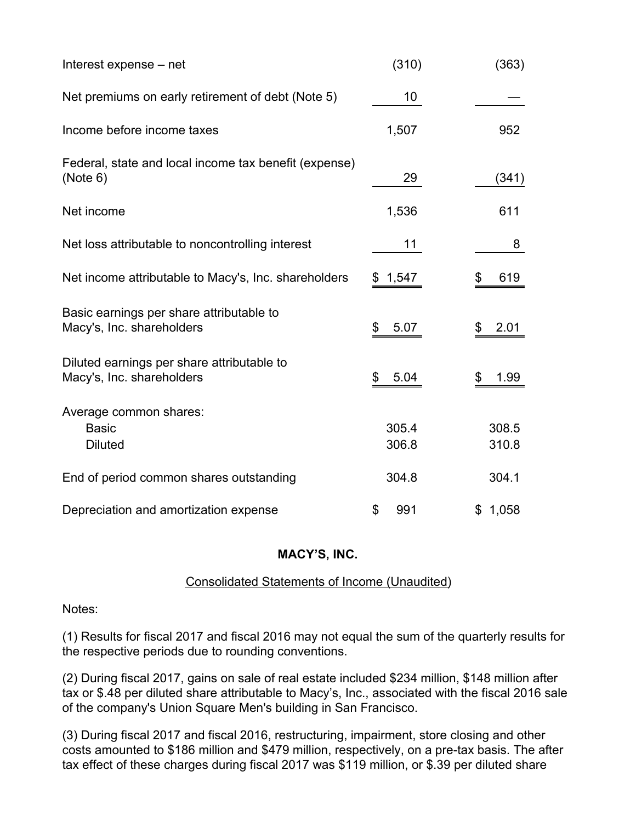| Interest expense - net                                                  | (310)          | (363)          |
|-------------------------------------------------------------------------|----------------|----------------|
| Net premiums on early retirement of debt (Note 5)                       | 10             |                |
| Income before income taxes                                              | 1,507          | 952            |
| Federal, state and local income tax benefit (expense)<br>(Note 6)       | 29             | (341)          |
| Net income                                                              | 1,536          | 611            |
| Net loss attributable to noncontrolling interest                        | 11             | 8              |
| Net income attributable to Macy's, Inc. shareholders                    | 1,547<br>\$    | 619<br>\$      |
| Basic earnings per share attributable to<br>Macy's, Inc. shareholders   | \$<br>5.07     | 2.01<br>\$     |
| Diluted earnings per share attributable to<br>Macy's, Inc. shareholders | \$<br>5.04     | \$<br>1.99     |
| Average common shares:<br><b>Basic</b><br><b>Diluted</b>                | 305.4<br>306.8 | 308.5<br>310.8 |
| End of period common shares outstanding                                 | 304.8          | 304.1          |
| Depreciation and amortization expense                                   | \$<br>991      | \$1,058        |

## Consolidated Statements of Income (Unaudited)

Notes:

(1) Results for fiscal 2017 and fiscal 2016 may not equal the sum of the quarterly results for the respective periods due to rounding conventions.

(2) During fiscal 2017, gains on sale of real estate included \$234 million, \$148 million after tax or \$.48 per diluted share attributable to Macy's, Inc., associated with the fiscal 2016 sale of the company's Union Square Men's building in San Francisco.

(3) During fiscal 2017 and fiscal 2016, restructuring, impairment, store closing and other costs amounted to \$186 million and \$479 million, respectively, on a pre-tax basis. The after tax effect of these charges during fiscal 2017 was \$119 million, or \$.39 per diluted share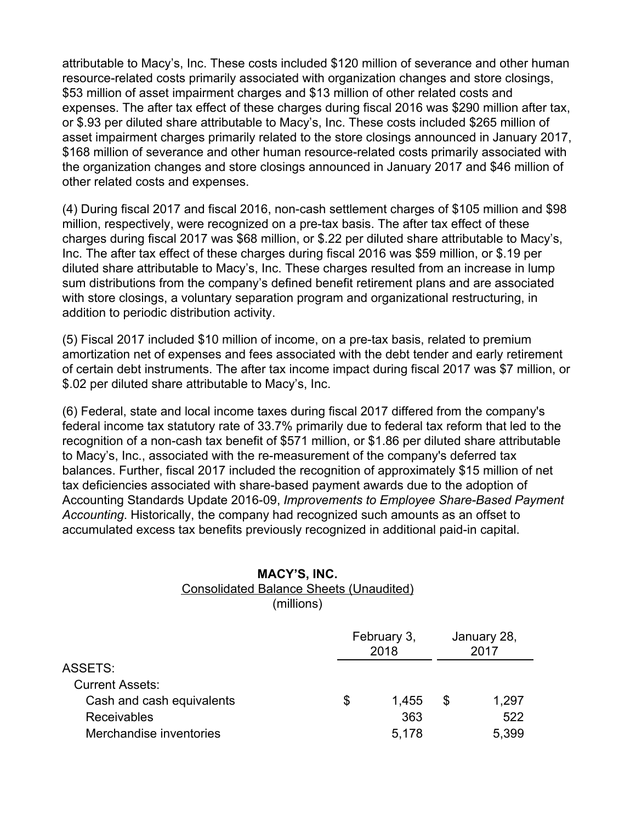attributable to Macy's, Inc. These costs included \$120 million of severance and other human resource-related costs primarily associated with organization changes and store closings, \$53 million of asset impairment charges and \$13 million of other related costs and expenses. The after tax effect of these charges during fiscal 2016 was \$290 million after tax, or \$.93 per diluted share attributable to Macy's, Inc. These costs included \$265 million of asset impairment charges primarily related to the store closings announced in January 2017, \$168 million of severance and other human resource-related costs primarily associated with the organization changes and store closings announced in January 2017 and \$46 million of other related costs and expenses.

(4) During fiscal 2017 and fiscal 2016, non-cash settlement charges of \$105 million and \$98 million, respectively, were recognized on a pre-tax basis. The after tax effect of these charges during fiscal 2017 was \$68 million, or \$.22 per diluted share attributable to Macy's, Inc. The after tax effect of these charges during fiscal 2016 was \$59 million, or \$.19 per diluted share attributable to Macy's, Inc. These charges resulted from an increase in lump sum distributions from the company's defined benefit retirement plans and are associated with store closings, a voluntary separation program and organizational restructuring, in addition to periodic distribution activity.

(5) Fiscal 2017 included \$10 million of income, on a pre-tax basis, related to premium amortization net of expenses and fees associated with the debt tender and early retirement of certain debt instruments. The after tax income impact during fiscal 2017 was \$7 million, or \$.02 per diluted share attributable to Macy's, Inc.

(6) Federal, state and local income taxes during fiscal 2017 differed from the company's federal income tax statutory rate of 33.7% primarily due to federal tax reform that led to the recognition of a non-cash tax benefit of \$571 million, or \$1.86 per diluted share attributable to Macy's, Inc., associated with the re-measurement of the company's deferred tax balances. Further, fiscal 2017 included the recognition of approximately \$15 million of net tax deficiencies associated with share-based payment awards due to the adoption of Accounting Standards Update 2016-09, *Improvements to Employee Share-Based Payment Accounting*. Historically, the company had recognized such amounts as an offset to accumulated excess tax benefits previously recognized in additional paid-in capital.

## **MACY'S, INC.**

## Consolidated Balance Sheets (Unaudited)

(millions)

|                           | February 3,<br>2018 |   | January 28,<br>2017 |
|---------------------------|---------------------|---|---------------------|
| ASSETS:                   |                     |   |                     |
| <b>Current Assets:</b>    |                     |   |                     |
| Cash and cash equivalents | \$<br>1.455         | S | 1,297               |
| <b>Receivables</b>        | 363                 |   | 522                 |
| Merchandise inventories   | 5,178               |   | 5,399               |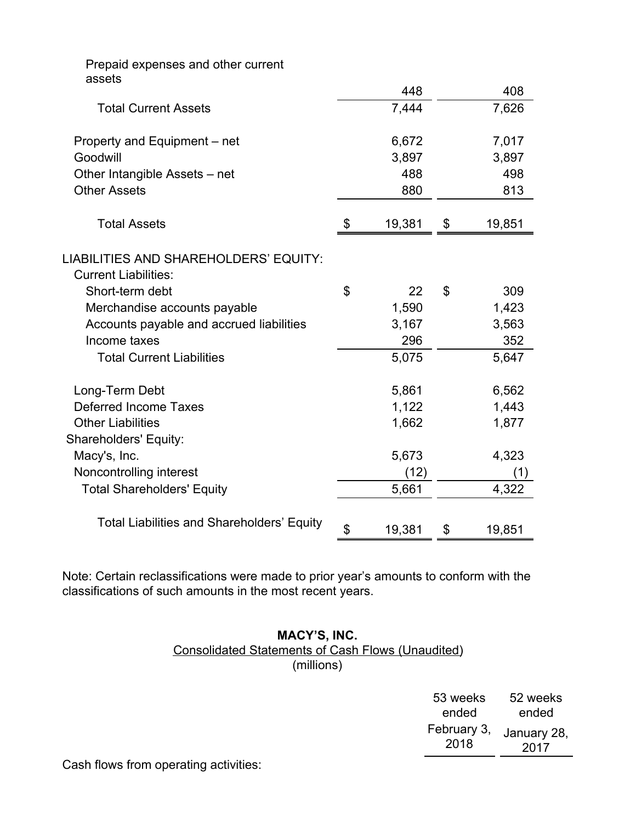| Prepaid expenses and other current<br>assets                         |              |                |        |
|----------------------------------------------------------------------|--------------|----------------|--------|
|                                                                      | 448          |                | 408    |
| <b>Total Current Assets</b>                                          | 7,444        |                | 7,626  |
| Property and Equipment - net                                         | 6,672        |                | 7,017  |
| Goodwill                                                             | 3,897        |                | 3,897  |
| Other Intangible Assets - net                                        | 488          |                | 498    |
| <b>Other Assets</b>                                                  | 880          |                | 813    |
| <b>Total Assets</b>                                                  | \$<br>19,381 | \$             | 19,851 |
| LIABILITIES AND SHAREHOLDERS' EQUITY:<br><b>Current Liabilities:</b> |              |                |        |
| Short-term debt                                                      | \$<br>22     | $\mathfrak{L}$ | 309    |
| Merchandise accounts payable                                         | 1,590        |                | 1,423  |
| Accounts payable and accrued liabilities                             | 3,167        |                | 3,563  |
| Income taxes                                                         | 296          |                | 352    |
| <b>Total Current Liabilities</b>                                     | 5,075        |                | 5,647  |
| Long-Term Debt                                                       | 5,861        |                | 6,562  |
| <b>Deferred Income Taxes</b>                                         | 1,122        |                | 1,443  |
| <b>Other Liabilities</b>                                             | 1,662        |                | 1,877  |
| <b>Shareholders' Equity:</b>                                         |              |                |        |
| Macy's, Inc.                                                         | 5,673        |                | 4,323  |
| Noncontrolling interest                                              | (12)         |                | (1)    |
| <b>Total Shareholders' Equity</b>                                    | 5,661        |                | 4,322  |
| <b>Total Liabilities and Shareholders' Equity</b>                    |              |                |        |
|                                                                      | \$<br>19,381 | \$             | 19,851 |

Note: Certain reclassifications were made to prior year's amounts to conform with the classifications of such amounts in the most recent years.

## **MACY'S, INC.** Consolidated Statements of Cash Flows (Unaudited) (millions)

| 53 weeks            | 52 weeks            |
|---------------------|---------------------|
| ended               | ended               |
| February 3,<br>2018 | January 28,<br>2017 |

Cash flows from operating activities: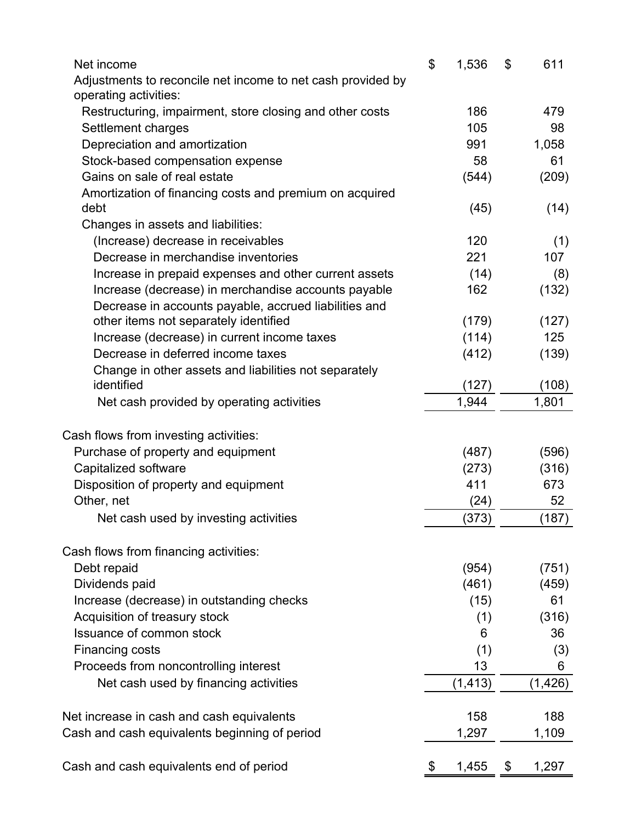| Net income                                                  | \$<br>1,536 | \$<br>611   |
|-------------------------------------------------------------|-------------|-------------|
| Adjustments to reconcile net income to net cash provided by |             |             |
| operating activities:                                       |             |             |
| Restructuring, impairment, store closing and other costs    | 186         | 479         |
| Settlement charges                                          | 105         | 98          |
| Depreciation and amortization                               | 991         | 1,058       |
| Stock-based compensation expense                            | 58          | 61          |
| Gains on sale of real estate                                | (544)       | (209)       |
| Amortization of financing costs and premium on acquired     |             |             |
| debt                                                        | (45)        | (14)        |
| Changes in assets and liabilities:                          |             |             |
| (Increase) decrease in receivables                          | 120         | (1)         |
| Decrease in merchandise inventories                         | 221         | 107         |
| Increase in prepaid expenses and other current assets       | (14)        | (8)         |
| Increase (decrease) in merchandise accounts payable         | 162         | (132)       |
| Decrease in accounts payable, accrued liabilities and       |             |             |
| other items not separately identified                       | (179)       | (127)       |
| Increase (decrease) in current income taxes                 | (114)       | 125         |
| Decrease in deferred income taxes                           | (412)       | (139)       |
| Change in other assets and liabilities not separately       |             |             |
| identified                                                  | (127)       | (108)       |
| Net cash provided by operating activities                   | 1,944       | 1,801       |
| Cash flows from investing activities:                       |             |             |
| Purchase of property and equipment                          | (487)       | (596)       |
| Capitalized software                                        | (273)       | (316)       |
| Disposition of property and equipment                       | 411         | 673         |
| Other, net                                                  | (24)        | 52          |
| Net cash used by investing activities                       | (373)       | (187)       |
|                                                             |             |             |
| Cash flows from financing activities:                       |             |             |
| Debt repaid                                                 | (954)       | (751)       |
| Dividends paid                                              | (461)       | (459)       |
| Increase (decrease) in outstanding checks                   | (15)        | 61          |
| Acquisition of treasury stock                               | (1)         | (316)       |
| Issuance of common stock                                    | 6           | 36          |
| Financing costs                                             | (1)         | (3)         |
| Proceeds from noncontrolling interest                       | 13          | 6           |
| Net cash used by financing activities                       | (1, 413)    | (1, 426)    |
|                                                             |             |             |
| Net increase in cash and cash equivalents                   | 158         | 188         |
| Cash and cash equivalents beginning of period               | 1,297       | 1,109       |
| Cash and cash equivalents end of period                     | 1,455       | \$<br>1,297 |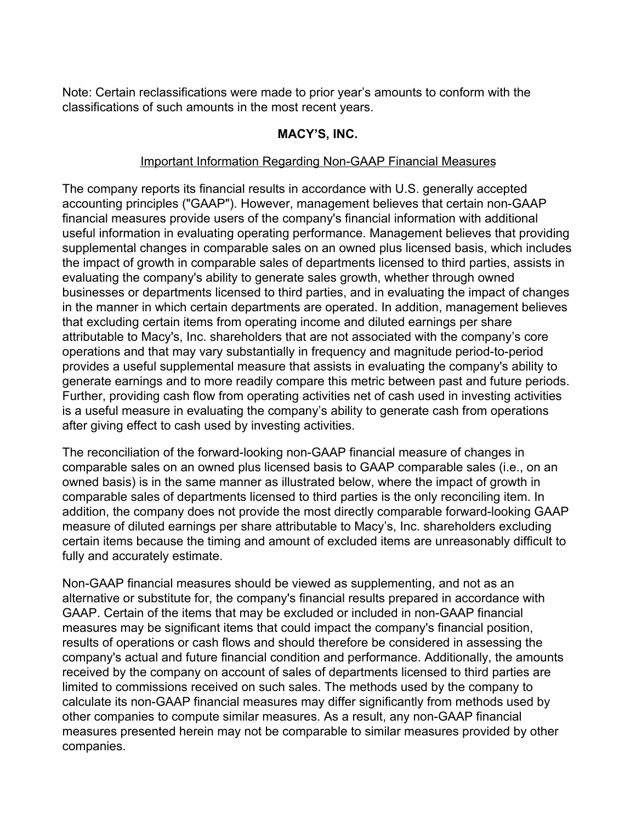Note: Certain reclassifications were made to prior year's amounts to conform with the classifications of such amounts in the most recent years.

## **MACY'S, INC.**

## Important Information Regarding Non-GAAP Financial Measures

The company reports its financial results in accordance with U.S. generally accepted accounting principles ("GAAP"). However, management believes that certain non-GAAP financial measures provide users of the company's financial information with additional useful information in evaluating operating performance. Management believes that providing supplemental changes in comparable sales on an owned plus licensed basis, which includes the impact of growth in comparable sales of departments licensed to third parties, assists in evaluating the company's ability to generate sales growth, whether through owned businesses or departments licensed to third parties, and in evaluating the impact of changes in the manner in which certain departments are operated. In addition, management believes that excluding certain items from operating income and diluted earnings per share attributable to Macy's, Inc. shareholders that are not associated with the company's core operations and that may vary substantially in frequency and magnitude period-to-period provides a useful supplemental measure that assists in evaluating the company's ability to generate earnings and to more readily compare this metric between past and future periods. Further, providing cash flow from operating activities net of cash used in investing activities is a useful measure in evaluating the company's ability to generate cash from operations after giving effect to cash used by investing activities.

The reconciliation of the forward-looking non-GAAP financial measure of changes in comparable sales on an owned plus licensed basis to GAAP comparable sales (i.e., on an owned basis) is in the same manner as illustrated below, where the impact of growth in comparable sales of departments licensed to third parties is the only reconciling item. In addition, the company does not provide the most directly comparable forward-looking GAAP measure of diluted earnings per share attributable to Macy's, Inc. shareholders excluding certain items because the timing and amount of excluded items are unreasonably difficult to fully and accurately estimate.

Non-GAAP financial measures should be viewed as supplementing, and not as an alternative or substitute for, the company's financial results prepared in accordance with GAAP. Certain of the items that may be excluded or included in non-GAAP financial measures may be significant items that could impact the company's financial position, results of operations or cash flows and should therefore be considered in assessing the company's actual and future financial condition and performance. Additionally, the amounts received by the company on account of sales of departments licensed to third parties are limited to commissions received on such sales. The methods used by the company to calculate its non-GAAP financial measures may differ significantly from methods used by other companies to compute similar measures. As a result, any non-GAAP financial measures presented herein may not be comparable to similar measures provided by other companies.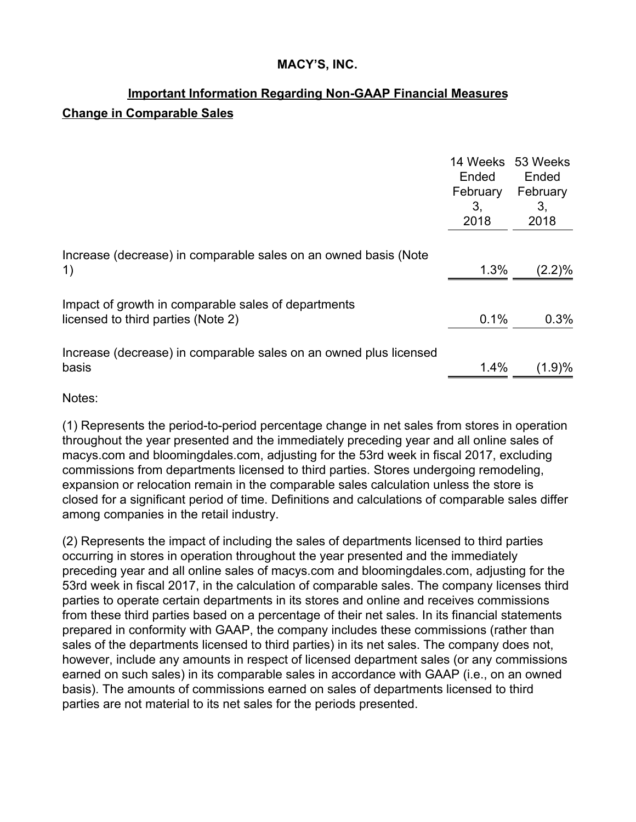## **Important Information Regarding Non-GAAP Financial Measures**

## **Change in Comparable Sales**

|                                                                                           | 14 Weeks<br>Ended<br>February<br>3,<br>2018 | 53 Weeks<br>Ended<br>February<br>3,<br>2018 |
|-------------------------------------------------------------------------------------------|---------------------------------------------|---------------------------------------------|
| Increase (decrease) in comparable sales on an owned basis (Note<br>1)                     | 1.3%                                        | $(2.2)\%$                                   |
| Impact of growth in comparable sales of departments<br>licensed to third parties (Note 2) | 0.1%                                        | 0.3%                                        |
| Increase (decrease) in comparable sales on an owned plus licensed<br>basis                | 1.4%                                        | (1.9)%                                      |

Notes:

(1) Represents the period-to-period percentage change in net sales from stores in operation throughout the year presented and the immediately preceding year and all online sales of macys.com and bloomingdales.com, adjusting for the 53rd week in fiscal 2017, excluding commissions from departments licensed to third parties. Stores undergoing remodeling, expansion or relocation remain in the comparable sales calculation unless the store is closed for a significant period of time. Definitions and calculations of comparable sales differ among companies in the retail industry.

(2) Represents the impact of including the sales of departments licensed to third parties occurring in stores in operation throughout the year presented and the immediately preceding year and all online sales of macys.com and bloomingdales.com, adjusting for the 53rd week in fiscal 2017, in the calculation of comparable sales. The company licenses third parties to operate certain departments in its stores and online and receives commissions from these third parties based on a percentage of their net sales. In its financial statements prepared in conformity with GAAP, the company includes these commissions (rather than sales of the departments licensed to third parties) in its net sales. The company does not, however, include any amounts in respect of licensed department sales (or any commissions earned on such sales) in its comparable sales in accordance with GAAP (i.e., on an owned basis). The amounts of commissions earned on sales of departments licensed to third parties are not material to its net sales for the periods presented.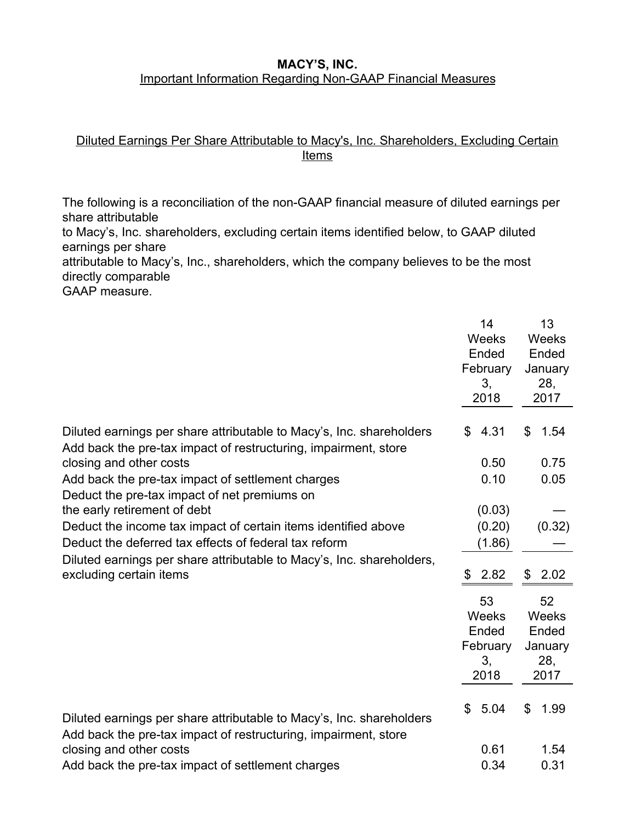## **MACY'S, INC.** Important Information Regarding Non-GAAP Financial Measures

## Diluted Earnings Per Share Attributable to Macy's, Inc. Shareholders, Excluding Certain Items

The following is a reconciliation of the non-GAAP financial measure of diluted earnings per share attributable

to Macy's, Inc. shareholders, excluding certain items identified below, to GAAP diluted earnings per share

attributable to Macy's, Inc., shareholders, which the company believes to be the most directly comparable

GAAP measure.

|                                                                                                                                                                                                                                                                                                                                                                                                                                                                                                                                        |          | 14<br>Weeks<br>Ended<br>February<br>3,<br>2018                                                               |          | 13<br><b>Weeks</b><br>Ended<br>January<br>28,<br>2017                                    |
|----------------------------------------------------------------------------------------------------------------------------------------------------------------------------------------------------------------------------------------------------------------------------------------------------------------------------------------------------------------------------------------------------------------------------------------------------------------------------------------------------------------------------------------|----------|--------------------------------------------------------------------------------------------------------------|----------|------------------------------------------------------------------------------------------|
| Diluted earnings per share attributable to Macy's, Inc. shareholders<br>Add back the pre-tax impact of restructuring, impairment, store<br>closing and other costs<br>Add back the pre-tax impact of settlement charges<br>Deduct the pre-tax impact of net premiums on<br>the early retirement of debt<br>Deduct the income tax impact of certain items identified above<br>Deduct the deferred tax effects of federal tax reform<br>Diluted earnings per share attributable to Macy's, Inc. shareholders,<br>excluding certain items | \$<br>\$ | 4.31<br>0.50<br>0.10<br>(0.03)<br>(0.20)<br>(1.86)<br>2.82<br>53<br>Weeks<br>Ended<br>February<br>3,<br>2018 | \$<br>\$ | 1.54<br>0.75<br>0.05<br>(0.32)<br>2.02<br>52<br>Weeks<br>Ended<br>January<br>28,<br>2017 |
| Diluted earnings per share attributable to Macy's, Inc. shareholders<br>Add back the pre-tax impact of restructuring, impairment, store<br>closing and other costs<br>Add back the pre-tax impact of settlement charges                                                                                                                                                                                                                                                                                                                | \$       | 5.04<br>0.61<br>0.34                                                                                         | \$       | 1.99<br>1.54<br>0.31                                                                     |